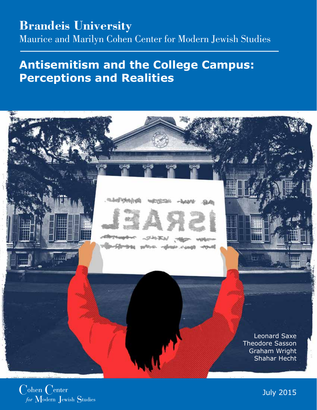# **Brandeis University**

Maurice and Marilyn Cohen Center for Modern Jewish Studies

# **Antisemitism and the College Campus: Perceptions and Realities**



 $\int$ ohen  $\int$ enter for Modern Jewish Studies

July 2015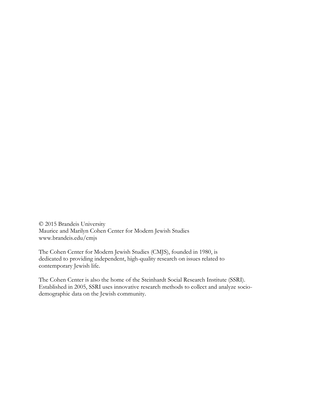© 2015 Brandeis University Maurice and Marilyn Cohen Center for Modern Jewish Studies www.brandeis.edu/cmjs

The Cohen Center for Modern Jewish Studies (CMJS), founded in 1980, is dedicated to providing independent, high-quality research on issues related to contemporary Jewish life.

The Cohen Center is also the home of the Steinhardt Social Research Institute (SSRI). Established in 2005, SSRI uses innovative research methods to collect and analyze sociodemographic data on the Jewish community.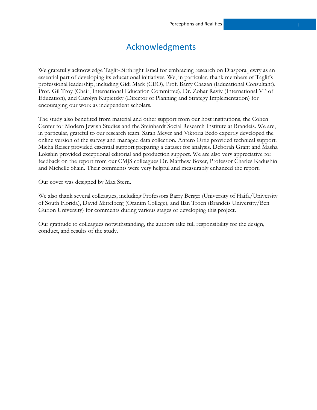## Acknowledgments

We gratefully acknowledge Taglit-Birthright Israel for embracing research on Diaspora Jewry as an essential part of developing its educational initiatives. We, in particular, thank members of Taglit's professional leadership, including Gidi Mark (CEO), Prof. Barry Chazan (Educational Consultant), Prof. Gil Troy (Chair, International Education Committee), Dr. Zohar Raviv (International VP of Education), and Carolyn Kupietzky (Director of Planning and Strategy Implementation) for encouraging our work as independent scholars.

The study also benefited from material and other support from our host institutions, the Cohen Center for Modern Jewish Studies and the Steinhardt Social Research Institute at Brandeis. We are, in particular, grateful to our research team. Sarah Meyer and Viktoria Bedo expertly developed the online version of the survey and managed data collection. Antero Ortiz provided technical support. Micha Reiser provided essential support preparing a dataset for analysis. Deborah Grant and Masha Lokshin provided exceptional editorial and production support. We are also very appreciative for feedback on the report from our CMJS colleagues Dr. Matthew Boxer, Professor Charles Kadushin and Michelle Shain. Their comments were very helpful and measurably enhanced the report.

Our cover was designed by Max Stern.

We also thank several colleagues, including Professors Barry Berger (University of Haifa/University of South Florida), David Mittelberg (Oranim College), and Ilan Troen (Brandeis University/Ben Gurion University) for comments during various stages of developing this project.

Our gratitude to colleagues notwithstanding, the authors take full responsibility for the design, conduct, and results of the study.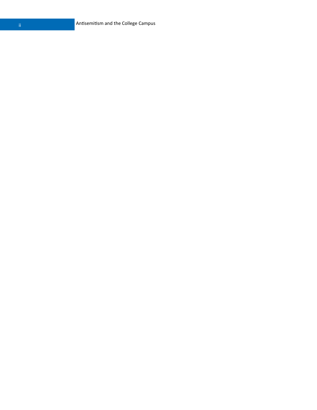Antisemitism and the College Campus ii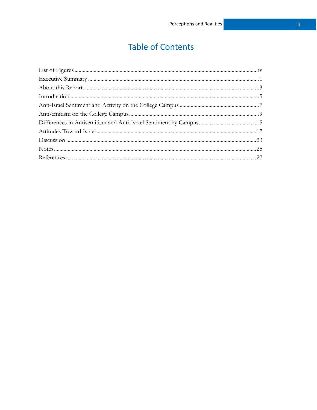## **Table of Contents**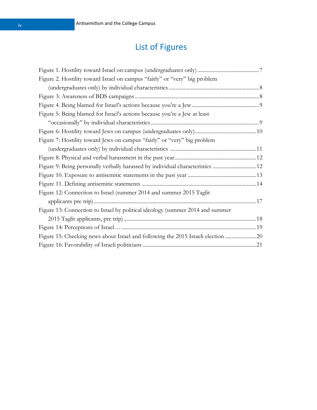# List of Figures

| Figure 2. Hostility toward Israel on campus "fairly" or "very" big problem       |  |
|----------------------------------------------------------------------------------|--|
|                                                                                  |  |
|                                                                                  |  |
|                                                                                  |  |
| Figure 5: Being blamed for Israel's actions because you're a Jew at least        |  |
|                                                                                  |  |
|                                                                                  |  |
| Figure 7: Hostility toward Jews on campus "fairly" or "very" big problem         |  |
|                                                                                  |  |
|                                                                                  |  |
| Figure 9: Being personally verbally harassed by individual characteristics 12    |  |
|                                                                                  |  |
|                                                                                  |  |
| Figure 12: Connection to Israel (summer 2014 and summer 2015 Taglit              |  |
|                                                                                  |  |
| Figure 13: Connection to Israel by political ideology (summer 2014 and summer    |  |
|                                                                                  |  |
|                                                                                  |  |
| Figure 15: Checking news about Israel and following the 2015 Israeli election 20 |  |
|                                                                                  |  |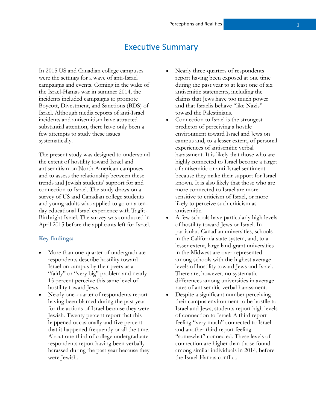## Executive Summary

In 2015 US and Canadian college campuses were the settings for a wave of anti-Israel campaigns and events. Coming in the wake of the Israel-Hamas war in summer 2014, the incidents included campaigns to promote Boycott, Divestment, and Sanctions (BDS) of Israel. Although media reports of anti-Israel incidents and antisemitism have attracted substantial attention, there have only been a few attempts to study these issues systematically.

The present study was designed to understand the extent of hostility toward Israel and antisemitism on North American campuses and to assess the relationship between these trends and Jewish students' support for and connection to Israel. The study draws on a survey of US and Canadian college students and young adults who applied to go on a tenday educational Israel experience with Taglit-Birthright Israel. The survey was conducted in April 2015 before the applicants left for Israel.

#### **Key findings:**

- More than one-quarter of undergraduate respondents describe hostility toward Israel on campus by their peers as a "fairly" or "very big" problem and nearly 15 percent perceive this same level of hostility toward Jews.
- Nearly one-quarter of respondents report having been blamed during the past year for the actions of Israel because they were Jewish. Twenty percent report that this happened occasionally and five percent that it happened frequently or all the time. About one-third of college undergraduate respondents report having been verbally harassed during the past year because they were Jewish.
- Nearly three-quarters of respondents report having been exposed at one time during the past year to at least one of six antisemitic statements, including the claims that Jews have too much power and that Israelis behave "like Nazis" toward the Palestinians.
- Connection to Israel is the strongest predictor of perceiving a hostile environment toward Israel and Jews on campus and, to a lesser extent, of personal experiences of antisemitic verbal harassment. It is likely that those who are highly connected to Israel become a target of antisemitic or anti-Israel sentiment because they make their support for Israel known. It is also likely that those who are more connected to Israel are more sensitive to criticism of Israel, or more likely to perceive such criticism as antisemitic.
- A few schools have particularly high levels of hostility toward Jews or Israel. In particular, Canadian universities, schools in the California state system, and, to a lesser extent, large land-grant universities in the Midwest are over-represented among schools with the highest average levels of hostility toward Jews and Israel. There are, however, no systematic differences among universities in average rates of antisemitic verbal harassment.
- Despite a significant number perceiving their campus environment to be hostile to Israel and Jews, students report high levels of connection to Israel: A third report feeling "very much" connected to Israel and another third report feeling "somewhat" connected. These levels of connection are higher than those found among similar individuals in 2014, before the Israel-Hamas conflict.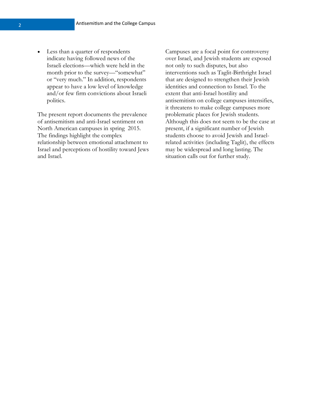Less than a quarter of respondents indicate having followed news of the Israeli elections—which were held in the month prior to the survey—"somewhat" or "very much." In addition, respondents appear to have a low level of knowledge and/or few firm convictions about Israeli politics.

The present report documents the prevalence of antisemitism and anti-Israel sentiment on North American campuses in spring 2015. The findings highlight the complex relationship between emotional attachment to Israel and perceptions of hostility toward Jews and Israel.

Campuses are a focal point for controversy over Israel, and Jewish students are exposed not only to such disputes, but also interventions such as Taglit-Birthright Israel that are designed to strengthen their Jewish identities and connection to Israel. To the extent that anti-Israel hostility and antisemitism on college campuses intensifies, it threatens to make college campuses more problematic places for Jewish students. Although this does not seem to be the case at present, if a significant number of Jewish students choose to avoid Jewish and Israelrelated activities (including Taglit), the effects may be widespread and long lasting. The situation calls out for further study.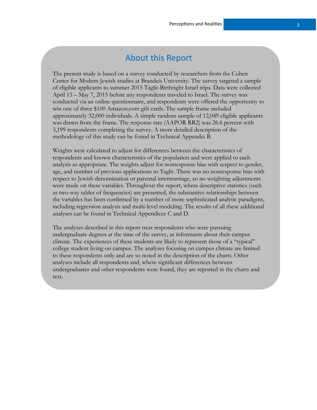### About this Report

The present study is based on a survey conducted by researchers from the Cohen Center for Modern Jewish studies at Brandeis University. The survey targeted a sample of eligible applicants to summer 2015 Taglit-Birthright Israel trips. Data were collected April 15 – May 7, 2015 before any respondents traveled to Israel. The survey was conducted via an online questionnaire, and respondents were offered the opportunity to win one of three \$100 Amazon.com gift cards. The sample frame included approximately 32,000 individuals. A simple random sample of 12,049 eligible applicants was drawn from the frame. The response rate (AAPOR RR2) was 26.6 percent with 3,199 respondents completing the survey. A more detailed description of the methodology of this study can be found in Technical Appendix B.

Weights were calculated to adjust for differences between the characteristics of respondents and known characteristics of the population and were applied to each analysis as appropriate. The weights adjust for nonresponse bias with respect to gender, age, and number of previous applications to Taglit. There was no nonresponse bias with respect to Jewish denomination or parental intermarriage, so no weighting adjustments were made on these variables. Throughout the report, where descriptive statistics (such as two-way tables of frequencies) are presented, the substantive relationships between the variables has been confirmed by a number of more sophisticated analytic paradigms, including regression analysis and multi-level modeling. The results of all these additional analyses can be found in Technical Appendices C and D.

The analyses described in this report treat respondents who were pursuing undergraduate degrees at the time of the survey, as informants about their campus climate. The experiences of these students are likely to represent those of a "typical" college student living on campus. The analyses focusing on campus climate are limited to these respondents only and are so noted in the description of the charts. Other analyses include all respondents and, where significant differences between undergraduates and other respondents were found, they are reported in the charts and text.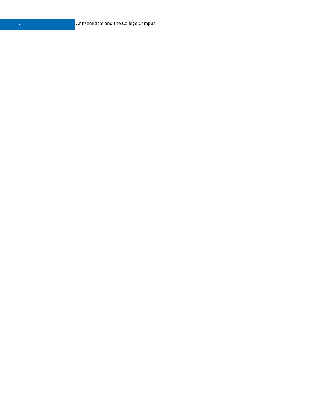Antisemitism and the College Campus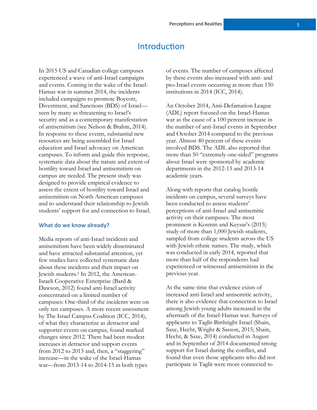## Introduction

In 2015 US and Canadian college campuses experienced a wave of anti-Israel campaigns and events. Coming in the wake of the Israel-Hamas war in summer 2014, the incidents included campaigns to promote Boycott, Divestment, and Sanctions (BDS) of Israel seen by many as threatening to Israel's security and as a contemporary manifestation of antisemitism (see Nelson & Brahm, 2014). In response to these events, substantial new resources are being assembled for Israel education and Israel advocacy on American campuses. To inform and guide this response, systematic data about the nature and extent of hostility toward Israel and antisemitism on campus are needed. The present study was designed to provide empirical evidence to assess the extent of hostility toward Israel and antisemitism on North American campuses and to understand their relationship to Jewish students' support for and connection to Israel.

#### **What do we know already?**

Media reports of anti-Israel incidents and antisemitism have been widely disseminated and have attracted substantial attention, yet few studies have collected systematic data about these incidents and their impact on Jewish students.<sup>1</sup> In 2012, the American-Israeli Cooperative Enterprise (Bard & Dawson, 2012) found anti-Israel activity concentrated on a limited number of campuses: One-third of the incidents were on only ten campuses. A more recent assessment by The Israel Campus Coalition (ICC, 2014), of what they characterize as detractor and supporter events on campus, found marked changes since 2012. There had been modest increases in detractor and support events from 2012 to 2013 and, then, a "staggering" increase—in the wake of the Israel-Hamas war—from 2013-14 to 2014-15 in both types

of events. The number of campuses affected by these events also increased with anti- and pro-Israel events occurring at more than 150 institutions in 2014 (ICC, 2014).

An October 2014, Anti-Defamation League (ADL) report focused on the Israel-Hamas war as the cause of a 100 percent increase in the number of anti-Israel events in September and October 2014 compared to the previous year. Almost 40 percent of these events involved BDS. The ADL also reported that more than 50 "extremely one-sided" programs about Israel were sponsored by academic departments in the 2012-13 and 2013-14 academic years.

Along with reports that catalog hostile incidents on campus, several surveys have been conducted to assess students' perceptions of anti-Israel and antisemitic activity on their campuses. The most prominent is Kosmin and Keysar's (2015) study of more than 1,000 Jewish students, sampled from college students across the US with Jewish ethnic names. The study, which was conducted in early 2014, reported that more than half of the respondents had experienced or witnessed antisemitism in the previous year.

At the same time that evidence exists of increased anti-Israel and antisemitic activity, there is also evidence that connection to Israel among Jewish young adults increased in the aftermath of the Israel-Hamas war. Surveys of applicants to Taglit-Birthright Israel (Shain, Saxe, Hecht, Wright & Sasson, 2015; Shain, Hecht, & Saxe, 2014) conducted in August and in September of 2014 documented strong support for Israel during the conflict, and found that even those applicants who did not participate in Taglit were more connected to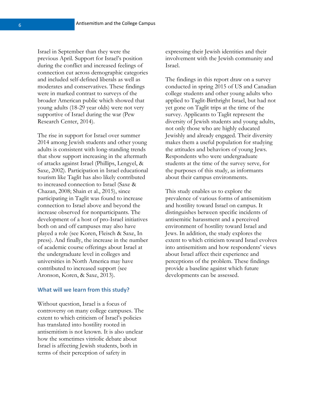Israel in September than they were the previous April. Support for Israel's position during the conflict and increased feelings of connection cut across demographic categories and included self-defined liberals as well as moderates and conservatives. These findings were in marked contrast to surveys of the broader American public which showed that young adults (18-29 year olds) were not very supportive of Israel during the war (Pew Research Center, 2014).

The rise in support for Israel over summer 2014 among Jewish students and other young adults is consistent with long-standing trends that show support increasing in the aftermath of attacks against Israel (Phillips, Lengyel, & Saxe, 2002). Participation in Israel educational tourism like Taglit has also likely contributed to increased connection to Israel (Saxe & Chazan, 2008; Shain et al., 2015), since participating in Taglit was found to increase connection to Israel above and beyond the increase observed for nonparticipants. The development of a host of pro-Israel initiatives both on and off campuses may also have played a role (see Koren, Fleisch & Saxe, In press). And finally, the increase in the number of academic course offerings about Israel at the undergraduate level in colleges and universities in North America may have contributed to increased support (see Aronson, Koren, & Saxe, 2013).

#### **What will we learn from this study?**

Without question, Israel is a focus of controversy on many college campuses. The extent to which criticism of Israel's policies has translated into hostility rooted in antisemitism is not known. It is also unclear how the sometimes vitriolic debate about Israel is affecting Jewish students, both in terms of their perception of safety in

expressing their Jewish identities and their involvement with the Jewish community and Israel.

The findings in this report draw on a survey conducted in spring 2015 of US and Canadian college students and other young adults who applied to Taglit-Birthright Israel, but had not yet gone on Taglit trips at the time of the survey. Applicants to Taglit represent the diversity of Jewish students and young adults, not only those who are highly educated Jewishly and already engaged. Their diversity makes them a useful population for studying the attitudes and behaviors of young Jews. Respondents who were undergraduate students at the time of the survey serve, for the purposes of this study, as informants about their campus environments.

This study enables us to explore the prevalence of various forms of antisemitism and hostility toward Israel on campus. It distinguishes between specific incidents of antisemitic harassment and a perceived environment of hostility toward Israel and Jews. In addition, the study explores the extent to which criticism toward Israel evolves into antisemitism and how respondents' views about Israel affect their experience and perceptions of the problem. These findings provide a baseline against which future developments can be assessed.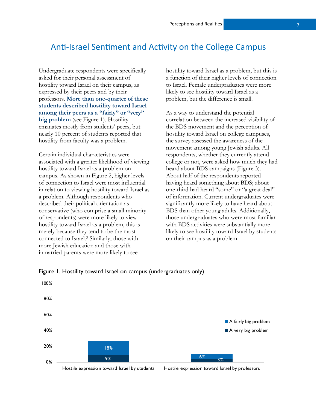## Anti-Israel Sentiment and Activity on the College Campus

Undergraduate respondents were specifically asked for their personal assessment of hostility toward Israel on their campus, as expressed by their peers and by their professors. **More than one-quarter of these students described hostility toward Israel among their peers as a "fairly" or "very" big problem** (see Figure 1). Hostility emanates mostly from students' peers, but nearly 10 percent of students reported that hostility from faculty was a problem.

Certain individual characteristics were associated with a greater likelihood of viewing hostility toward Israel as a problem on campus. As shown in Figure 2, higher levels of connection to Israel were most influential in relation to viewing hostility toward Israel as a problem. Although respondents who described their political orientation as conservative (who comprise a small minority of respondents) were more likely to view hostility toward Israel as a problem, this is merely because they tend to be the most connected to Israel.<sup>2</sup> Similarly, those with more Jewish education and those with inmarried parents were more likely to see

hostility toward Israel as a problem, but this is a function of their higher levels of connection to Israel. Female undergraduates were more likely to see hostility toward Israel as a problem, but the difference is small.

As a way to understand the potential correlation between the increased visibility of the BDS movement and the perception of hostility toward Israel on college campuses, the survey assessed the awareness of the movement among young Jewish adults. All respondents, whether they currently attend college or not, were asked how much they had heard about BDS campaigns (Figure 3). About half of the respondents reported having heard something about BDS; about one-third had heard "some" or "a great deal" of information. Current undergraduates were significantly more likely to have heard about BDS than other young adults. Additionally, those undergraduates who were most familiar with BDS activities were substantially more likely to see hostility toward Israel by students on their campus as a problem.



#### Figure 1. Hostility toward Israel on campus (undergraduates only)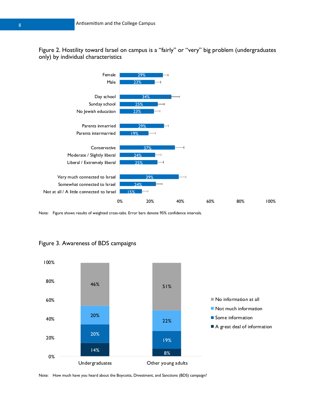Figure 2. Hostility toward Israel on campus is a "fairly" or "very" big problem (undergraduates only) by individual characteristics



Note: Figure shows results of weighted cross-tabs. Error bars denote 95% confidence intervals.



#### Figure 3. Awareness of BDS campaigns

Note: How much have you heard about the Boycotts, Divestment, and Sanctions (BDS) campaign?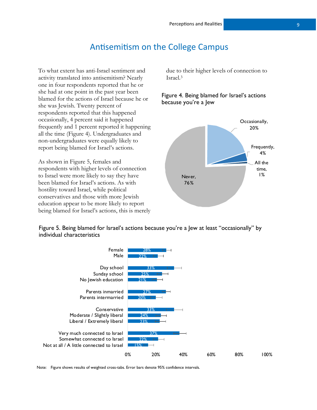## Antisemitism on the College Campus

To what extent has anti-Israel sentiment and activity translated into antisemitism? Nearly one in four respondents reported that he or she had at one point in the past year been blamed for the actions of Israel because he or she was Jewish. Twenty percent of respondents reported that this happened occasionally, 4 percent said it happened frequently and 1 percent reported it happening all the time (Figure 4). Undergraduates and non-undergraduates were equally likely to report being blamed for Israel's actions.

As shown in Figure 5, females and respondents with higher levels of connection to Israel were more likely to say they have been blamed for Israel's actions. As with hostility toward Israel, while political conservatives and those with more Jewish education appear to be more likely to report being blamed for Israel's actions, this is merely due to their higher levels of connection to Israel.<sup>3</sup>

#### Figure 4. Being blamed for Israel's actions because you're a Jew



Figure 5. Being blamed for Israel's actions because you're a Jew at least "occasionally" by individual characteristics



Note: Figure shows results of weighted cross-tabs. Error bars denote 95% confidence intervals.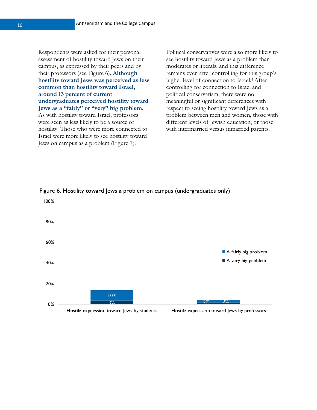Respondents were asked for their personal assessment of hostility toward Jews on their campus, as expressed by their peers and by their professors (see Figure 6). **Although hostility toward Jews was perceived as less common than hostility toward Israel, around 13 percent of current undergraduates perceived hostility toward Jews as a "fairly" or "very" big problem.**  As with hostility toward Israel, professors were seen as less likely to be a source of hostility. Those who were more connected to Israel were more likely to see hostility toward Jews on campus as a problem (Figure 7).

Political conservatives were also more likely to see hostility toward Jews as a problem than moderates or liberals, and this difference remains even after controlling for this group's higher level of connection to Israel.4 After controlling for connection to Israel and political conservatism, there were no meaningful or significant differences with respect to seeing hostility toward Jews as a problem between men and women, those with different levels of Jewish education, or those with intermarried versus inmarried parents.



## Figure 6. Hostility toward Jews a problem on campus (undergraduates only)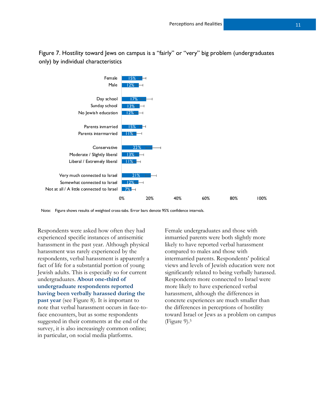

Note: Figure shows results of weighted cross-tabs. Error bars denote 95% confidence intervals.

Respondents were asked how often they had experienced specific instances of antisemitic harassment in the past year. Although physical harassment was rarely experienced by the respondents, verbal harassment is apparently a fact of life for a substantial portion of young Jewish adults. This is especially so for current undergraduates. **About one-third of undergraduate respondents reported having been verbally harassed during the past year** (see Figure 8). It is important to note that verbal harassment occurs in face-toface encounters, but as some respondents suggested in their comments at the end of the survey, it is also increasingly common online; in particular, on social media platforms.

Female undergraduates and those with inmarried parents were both slightly more likely to have reported verbal harassment compared to males and those with intermarried parents. Respondents' political views and levels of Jewish education were not significantly related to being verbally harassed. Respondents more connected to Israel were more likely to have experienced verbal harassment, although the differences in concrete experiences are much smaller than the differences in perceptions of hostility toward Israel or Jews as a problem on campus (Figure  $9$ ).<sup>5</sup>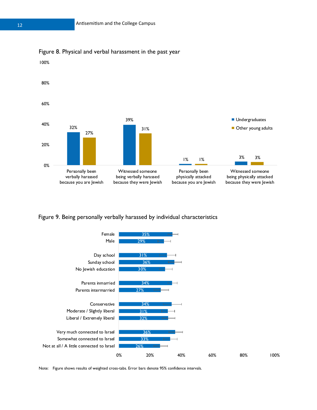

#### Figure 8. Physical and verbal harassment in the past year

Figure 9. Being personally verbally harassed by individual characteristics



Note: Figure shows results of weighted cross-tabs. Error bars denote 95% confidence intervals.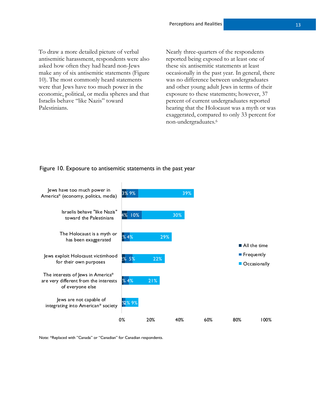To draw a more detailed picture of verbal antisemitic harassment, respondents were also asked how often they had heard non-Jews make any of six antisemitic statements (Figure 10). The most commonly heard statements were that Jews have too much power in the economic, political, or media spheres and that Israelis behave "like Nazis" toward Palestinians.

Nearly three-quarters of the respondents reported being exposed to at least one of these six antisemitic statements at least occasionally in the past year. In general, there was no difference between undergraduates and other young adult Jews in terms of their exposure to these statements; however, 37 percent of current undergraduates reported hearing that the Holocaust was a myth or was exaggerated, compared to only 33 percent for non-undergraduates.<sup>6</sup>

#### Figure 10. Exposure to antisemitic statements in the past year



Note: \*Replaced with "Canada" or "Canadian" for Canadian respondents.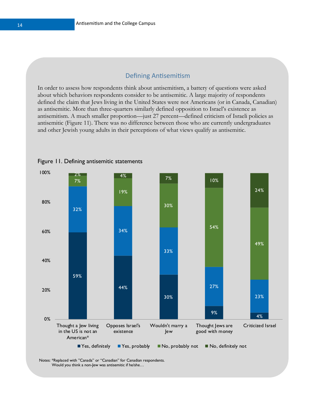#### Defining Antisemitism

In order to assess how respondents think about antisemitism, a battery of questions were asked about which behaviors respondents consider to be antisemitic. A large majority of respondents defined the claim that Jews living in the United States were not Americans (or in Canada, Canadian) as antisemitic. More than three-quarters similarly defined opposition to Israel's existence as antisemitism. A much smaller proportion—just 27 percent—defined criticism of Israeli policies as antisemitic (Figure 11). There was no difference between those who are currently undergraduates and other Jewish young adults in their perceptions of what views qualify as antisemitic.



Figure 11. Defining antisemitic statements

Notes: \*Replaced with "Canada" or "Canadian" for Canadian respondents. Would you think a non-Jew was antisemitic if he/she…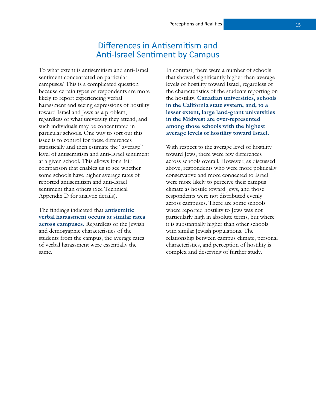## Differences in Antisemitism and Anti-Israel Sentiment by Campus

To what extent is antisemitism and anti-Israel sentiment concentrated on particular campuses? This is a complicated question because certain types of respondents are more likely to report experiencing verbal harassment and seeing expressions of hostility toward Israel and Jews as a problem, regardless of what university they attend, and such individuals may be concentrated in particular schools. One way to sort out this issue is to control for these differences statistically and then estimate the "average" level of antisemitism and anti-Israel sentiment at a given school. This allows for a fair comparison that enables us to see whether some schools have higher average rates of reported antisemitism and anti-Israel sentiment than others (See Technical Appendix D for analytic details).

The findings indicated that **antisemitic verbal harassment occurs at similar rates across campuses.** Regardless of the Jewish and demographic characteristics of the students from the campus, the average rates of verbal harassment were essentially the same.

In contrast, there were a number of schools that showed significantly higher-than-average levels of hostility toward Israel, regardless of the characteristics of the students reporting on the hostility. **Canadian universities, schools in the California state system, and, to a lesser extent, large land-grant universities in the Midwest are over-represented among those schools with the highest average levels of hostility toward Israel.**

With respect to the average level of hostility toward Jews, there were few differences across schools overall. However, as discussed above, respondents who were more politically conservative and more connected to Israel were more likely to perceive their campus climate as hostile toward Jews, and those respondents were not distributed evenly across campuses. There are some schools where reported hostility to Jews was not particularly high in absolute terms, but where it is substantially higher than other schools with similar Jewish populations. The relationship between campus climate, personal characteristics, and perception of hostility is complex and deserving of further study.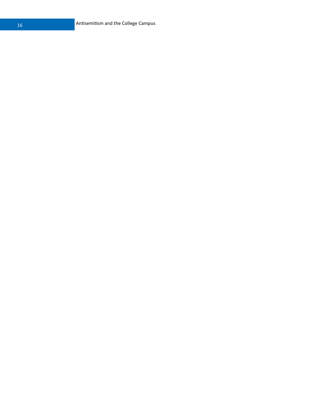Antisemitism and the College Campus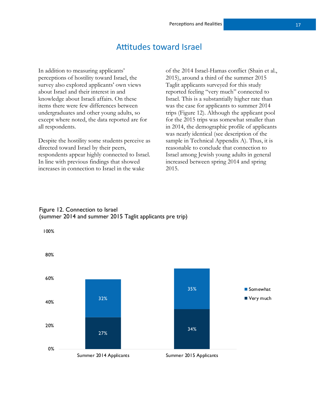## Attitudes toward Israel

In addition to measuring applicants' perceptions of hostility toward Israel, the survey also explored applicants' own views about Israel and their interest in and knowledge about Israeli affairs. On these items there were few differences between undergraduates and other young adults, so except where noted, the data reported are for all respondents.

Despite the hostility some students perceive as directed toward Israel by their peers, respondents appear highly connected to Israel. In line with previous findings that showed increases in connection to Israel in the wake

of the 2014 Israel-Hamas conflict (Shain et al., 2015), around a third of the summer 2015 Taglit applicants surveyed for this study reported feeling "very much" connected to Israel. This is a substantially higher rate than was the case for applicants to summer 2014 trips (Figure 12). Although the applicant pool for the 2015 trips was somewhat smaller than in 2014, the demographic profile of applicants was nearly identical (see description of the sample in Technical Appendix A). Thus, it is reasonable to conclude that connection to Israel among Jewish young adults in general increased between spring 2014 and spring 2015.



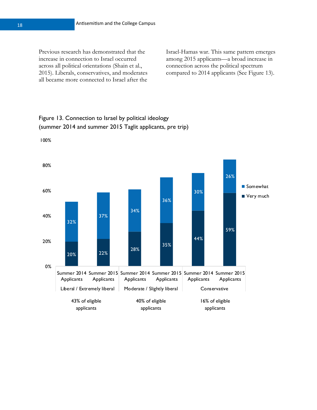Previous research has demonstrated that the increase in connection to Israel occurred across all political orientations (Shain et al., 2015). Liberals, conservatives, and moderates all became more connected to Israel after the

Israel-Hamas war. This same pattern emerges among 2015 applicants—a broad increase in connection across the political spectrum compared to 2014 applicants (See Figure 13).

### Figure 13. Connection to Israel by political ideology (summer 2014 and summer 2015 Taglit applicants, pre trip)



100%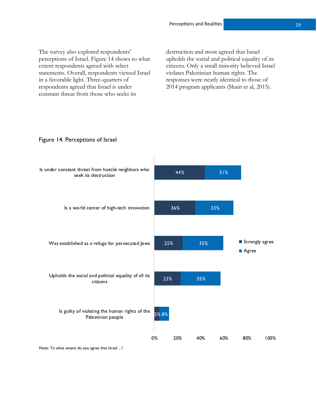The survey also explored respondents' perceptions of Israel. Figure 14 shows to what extent respondents agreed with select statements. Overall, respondents viewed Israel in a favorable light. Three-quarters of respondents agreed that Israel is under constant threat from those who seeks its

destruction and most agreed that Israel upholds the social and political equality of its citizens. Only a small minority believed Israel violates Palestinian human rights. The responses were nearly identical to those of 2014 program applicants (Shain et al, 2015).

#### Figure 14. Perceptions of Israel



Note: To what extent do you agree that Israel…?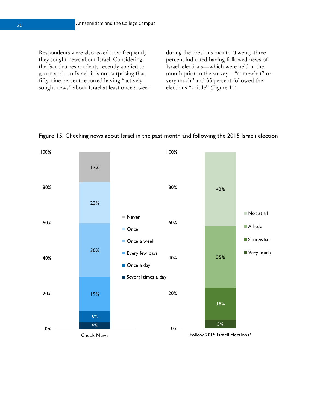Respondents were also asked how frequently they sought news about Israel. Considering the fact that respondents recently applied to go on a trip to Israel, it is not surprising that fifty-nine percent reported having "actively sought news" about Israel at least once a week during the previous month. Twenty-three percent indicated having followed news of Israeli elections—which were held in the month prior to the survey—"somewhat" or very much" and 35 percent followed the elections "a little" (Figure 15).



#### Figure 15. Checking news about Israel in the past month and following the 2015 Israeli election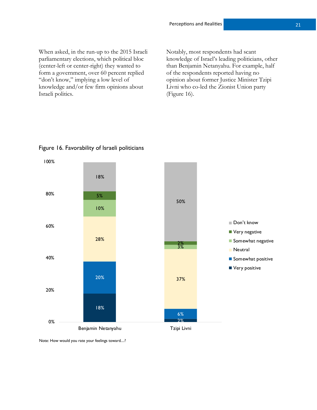When asked, in the run-up to the 2015 Israeli parliamentary elections, which political bloc (center-left or center-right) they wanted to form a government, over 60 percent replied "don't know," implying a low level of knowledge and/or few firm opinions about Israeli politics.

Notably, most respondents had scant knowledge of Israel's leading politicians, other than Benjamin Netanyahu. For example, half of the respondents reported having no opinion about former Justice Minister Tzipi Livni who co-led the Zionist Union party (Figure 16).



#### Figure 16. Favorability of Israeli politicians

Note: How would you rate your feelings toward....?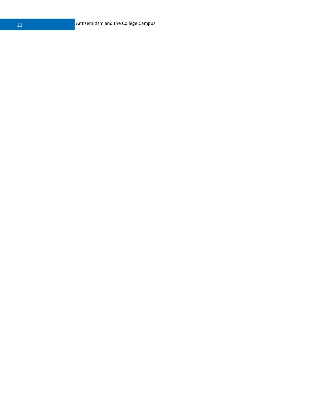Antisemitism and the College Campus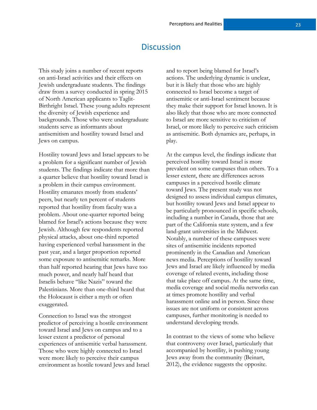### **Discussion**

This study joins a number of recent reports on anti-Israel activities and their effects on Jewish undergraduate students. The findings draw from a survey conducted in spring 2015 of North American applicants to Taglit-Birthright Israel. These young adults represent the diversity of Jewish experience and backgrounds. Those who were undergraduate students serve as informants about antisemitism and hostility toward Israel and Jews on campus.

Hostility toward Jews and Israel appears to be a problem for a significant number of Jewish students. The findings indicate that more than a quarter believe that hostility toward Israel is a problem in their campus environment. Hostility emanates mostly from students' peers, but nearly ten percent of students reported that hostility from faculty was a problem. About one-quarter reported being blamed for Israel's actions because they were Jewish. Although few respondents reported physical attacks, about one-third reported having experienced verbal harassment in the past year, and a larger proportion reported some exposure to antisemitic remarks. More than half reported hearing that Jews have too much power, and nearly half heard that Israelis behave "like Nazis" toward the Palestinians. More than one-third heard that the Holocaust is either a myth or often exaggerated.

Connection to Israel was the strongest predictor of perceiving a hostile environment toward Israel and Jews on campus and to a lesser extent a predictor of personal experiences of antisemitic verbal harassment. Those who were highly connected to Israel were more likely to perceive their campus environment as hostile toward Jews and Israel and to report being blamed for Israel's actions. The underlying dynamic is unclear, but it is likely that those who are highly connected to Israel become a target of antisemitic or anti-Israel sentiment because they make their support for Israel known. It is also likely that those who are more connected to Israel are more sensitive to criticism of Israel, or more likely to perceive such criticism as antisemitic. Both dynamics are, perhaps, in play.

At the campus level, the findings indicate that perceived hostility toward Israel is more prevalent on some campuses than others. To a lesser extent, there are differences across campuses in a perceived hostile climate toward Jews. The present study was not designed to assess individual campus climates, but hostility toward Jews and Israel appear to be particularly pronounced in specific schools, including a number in Canada, those that are part of the California state system, and a few land-grant universities in the Midwest. Notably, a number of these campuses were sites of antisemitic incidents reported prominently in the Canadian and American news media. Perceptions of hostility toward Jews and Israel are likely influenced by media coverage of related events, including those that take place off campus. At the same time, media coverage and social media networks can at times promote hostility and verbal harassment online and in person. Since these issues are not uniform or consistent across campuses, further monitoring is needed to understand developing trends.

In contrast to the views of some who believe that controversy over Israel, particularly that accompanied by hostility, is pushing young Jews away from the community (Beinart, 2012), the evidence suggests the opposite.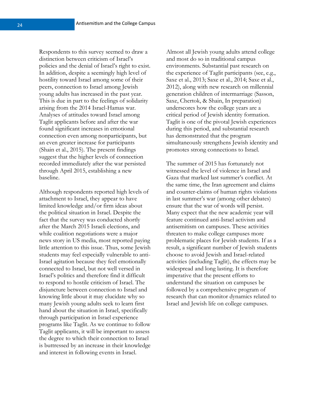Respondents to this survey seemed to draw a distinction between criticism of Israel's policies and the denial of Israel's right to exist. In addition, despite a seemingly high level of hostility toward Israel among some of their peers, connection to Israel among Jewish young adults has increased in the past year. This is due in part to the feelings of solidarity arising from the 2014 Israel-Hamas war. Analyses of attitudes toward Israel among Taglit applicants before and after the war found significant increases in emotional connection even among nonparticipants, but an even greater increase for participants (Shain et al., 2015). The present findings suggest that the higher levels of connection recorded immediately after the war persisted through April 2015, establishing a new baseline.

Although respondents reported high levels of attachment to Israel, they appear to have limited knowledge and/or firm ideas about the political situation in Israel. Despite the fact that the survey was conducted shortly after the March 2015 Israeli elections, and while coalition negotiations were a major news story in US media, most reported paying little attention to this issue. Thus, some Jewish students may feel especially vulnerable to anti-Israel agitation because they feel emotionally connected to Israel, but not well versed in Israel's politics and therefore find it difficult to respond to hostile criticism of Israel. The disjuncture between connection to Israel and knowing little about it may elucidate why so many Jewish young adults seek to learn first hand about the situation in Israel, specifically through participation in Israel experience programs like Taglit. As we continue to follow Taglit applicants, it will be important to assess the degree to which their connection to Israel is buttressed by an increase in their knowledge and interest in following events in Israel.

Almost all Jewish young adults attend college and most do so in traditional campus environments. Substantial past research on the experience of Taglit participants (see, e.g., Saxe et al., 2013; Saxe et al., 2014; Saxe et al., 2012), along with new research on millennial generation children of intermarriage (Sasson, Saxe, Chertok, & Shain, In preparation) underscores how the college years are a critical period of Jewish identity formation. Taglit is one of the pivotal Jewish experiences during this period, and substantial research has demonstrated that the program simultaneously strengthens Jewish identity and promotes strong connections to Israel.

The summer of 2015 has fortunately not witnessed the level of violence in Israel and Gaza that marked last summer's conflict. At the same time, the Iran agreement and claims and counter-claims of human rights violations in last summer's war (among other debates) ensure that the war of words will persist. Many expect that the new academic year will feature continued anti-Israel activism and antisemitism on campuses. These activities threaten to make college campuses more problematic places for Jewish students. If as a result, a significant number of Jewish students choose to avoid Jewish and Israel-related activities (including Taglit), the effects may be widespread and long lasting. It is therefore imperative that the present efforts to understand the situation on campuses be followed by a comprehensive program of research that can monitor dynamics related to Israel and Jewish life on college campuses.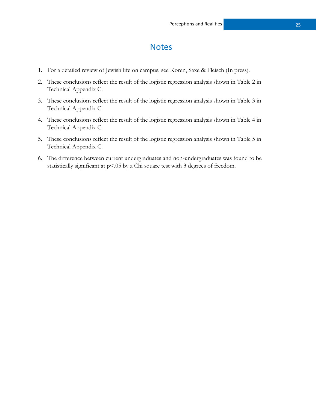## **Notes**

- 1. For a detailed review of Jewish life on campus, see Koren, Saxe & Fleisch (In press).
- 2. These conclusions reflect the result of the logistic regression analysis shown in Table 2 in Technical Appendix C.
- 3. These conclusions reflect the result of the logistic regression analysis shown in Table 3 in Technical Appendix C.
- 4. These conclusions reflect the result of the logistic regression analysis shown in Table 4 in Technical Appendix C.
- 5. These conclusions reflect the result of the logistic regression analysis shown in Table 5 in Technical Appendix C.
- 6. The difference between current undergraduates and non-undergraduates was found to be statistically significant at p<.05 by a Chi square test with 3 degrees of freedom.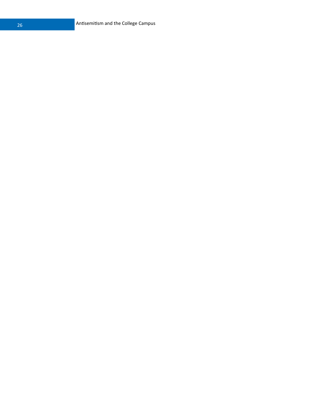Antisemitism and the College Campus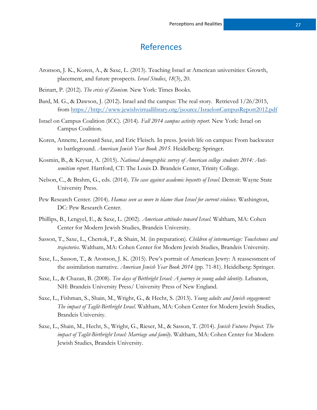## References

- Aronson, J. K., Koren, A., & Saxe, L. (2013). Teaching Israel at American universities: Growth, placement, and future prospects. *Israel Studies*, *18*(3), 20.
- Beinart, P. (2012). *The crisis of Zionism*. New York: Times Books.
- Bard, M. G., & Dawson, J. (2012). Israel and the campus: The real story. Retrieved 1/26/2015, from [https://http://www.jewishvirtuallibrary.org/jsource/IsraelonCampusReport2012.pdf](https://http:/www.jewishvirtuallibrary.org/jsource/IsraelonCampusReport2012.pdf)
- Israel on Campus Coalition (ICC). (2014). *Fall 2014 campus activity report*. New York: Israel on Campus Coalition.
- Koren, Annette, Leonard Saxe, and Eric Fleisch. In press. Jewish life on campus: From backwater to battleground. *American Jewish Year Book 2015*. Heidelberg: Springer.
- Kosmin, B., & Keysar, A. (2015). *National demographic survey of American college students 2014: Antisemitism report*. Hartford, CT: The Louis D. Brandeis Center, Trinity College.
- Nelson, C., & Brahm, G., eds. (2014). *The case against academic boycotts of Israel*. Detroit: Wayne State University Press.
- Pew Research Center. (2014). *Hamas seen as more to blame than Israel for current violence*. Washington, DC: Pew Research Center.
- Phillips, B., Lengyel, E., & Saxe, L. (2002). *American attitudes toward Israel*. Waltham, MA: Cohen Center for Modern Jewish Studies, Brandeis University.
- Sasson, T., Saxe, L., Chertok, F., & Shain, M. (in preparation). *Children of intermarriage: Touchstones and trajectories*. Waltham, MA: Cohen Center for Modern Jewish Studies, Brandeis University.
- Saxe, L., Sasson, T., & Aronson, J. K. (2015). Pew's portrait of American Jewry: A reassessment of the assimilation narrative. *American Jewish Year Book 2014* (pp. 71-81). Heidelberg: Springer.
- Saxe, L., & Chazan, B. (2008). *Ten days of Birthright Israel: A journey in young adult identity*. Lebanon, NH: Brandeis University Press/ University Press of New England.
- Saxe, L., Fishman, S., Shain, M., Wright, G., & Hecht, S. (2013). *Young adults and Jewish engagement: The impact of Taglit-Birthright Israel*. Waltham, MA: Cohen Center for Modern Jewish Studies, Brandeis University.
- Saxe, L., Shain, M., Hecht, S., Wright, G., Rieser, M., & Sasson, T. (2014). *Jewish Futures Project. The impact of Taglit-Birthright Israel: Marriage and family*. Waltham, MA: Cohen Center for Modern Jewish Studies, Brandeis University.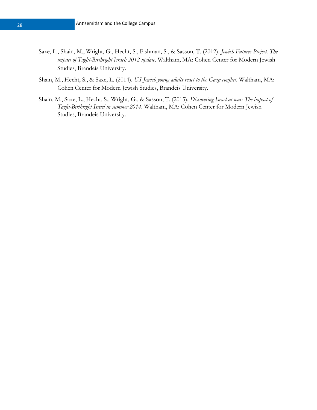- Saxe, L., Shain, M., Wright, G., Hecht, S., Fishman, S., & Sasson, T. (2012). *Jewish Futures Project. The impact of Taglit-Birthright Israel: 2012 update*. Waltham, MA: Cohen Center for Modern Jewish Studies, Brandeis University.
- Shain, M., Hecht, S., & Saxe, L. (2014). *US Jewish young adults react to the Gaza conflict*. Waltham, MA: Cohen Center for Modern Jewish Studies, Brandeis University.
- Shain, M., Saxe, L., Hecht, S., Wright, G., & Sasson, T. (2015). *Discovering Israel at war: The impact of Taglit-Birthright Israel in summer 2014*. Waltham, MA: Cohen Center for Modern Jewish Studies, Brandeis University.